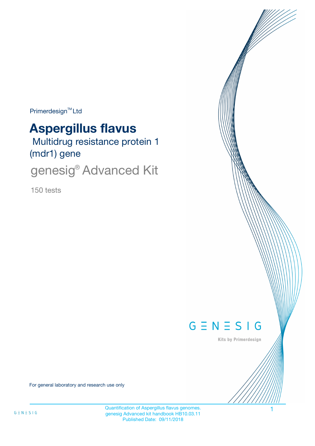$Primerdesign^{\text{TM}}$ Ltd

# **Aspergillus flavus**

 Multidrug resistance protein 1 (mdr1) gene

genesig<sup>®</sup> Advanced Kit

150 tests



Kits by Primerdesign

For general laboratory and research use only

Quantification of Aspergillus flavus genomes. 1 genesig Advanced kit handbook HB10.03.11 Published Date: 09/11/2018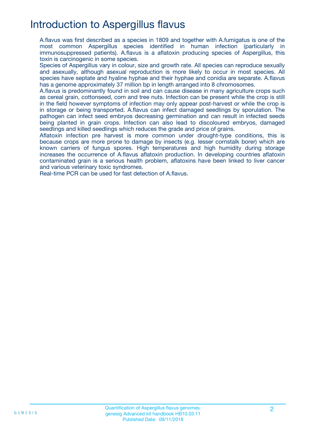# Introduction to Aspergillus flavus

A.flavus was first described as a species in 1809 and together with A.fumigatus is one of the most common Aspergillus species identified in human infection (particularly in immunosuppressed patients). A.flavus is a aflatoxin producing species of Aspergillus, this toxin is carcinogenic in some species.

Species of Aspergillus vary in colour, size and growth rate. All species can reproduce sexually and asexually, although asexual reproduction is more likely to occur in most species. All species have septate and hyaline hyphae and their hyphae and conidia are separate. A.flavus has a genome approximately 37 million bp in length arranged into 8 chromosomes.

A.flavus is predominantly found in soil and can cause disease in many agriculture crops such as cereal grain, cottonseed, corn and tree nuts. Infection can be present while the crop is still in the field however symptoms of infection may only appear post-harvest or while the crop is in storage or being transported. A.flavus can infect damaged seedlings by sporulation. The pathogen can infect seed embryos decreasing germination and can result in infected seeds being planted in grain crops. Infection can also lead to discoloured embryos, damaged seedlings and killed seedlings which reduces the grade and price of grains.

Aflatoxin infection pre harvest is more common under drought-type conditions, this is because crops are more prone to damage by insects (e.g. lesser cornstalk borer) which are known carriers of fungus spores. High temperatures and high humidity during storage increases the occurrence of A.flavus aflatoxin production. In developing countries aflatoxin contaminated grain is a serious health problem, aflatoxins have been linked to liver cancer and various veterinary toxic syndromes.

Real-time PCR can be used for fast detection of A.flavus.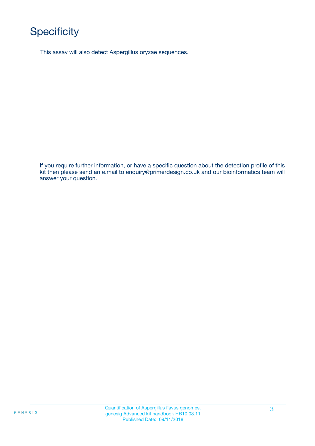# **Specificity**

This assay will also detect Aspergillus oryzae sequences.

If you require further information, or have a specific question about the detection profile of this kit then please send an e.mail to enquiry@primerdesign.co.uk and our bioinformatics team will answer your question.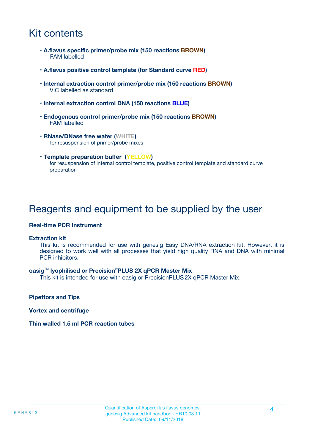# Kit contents

- **A.flavus specific primer/probe mix (150 reactions BROWN)** FAM labelled
- **A.flavus positive control template (for Standard curve RED)**
- **Internal extraction control primer/probe mix (150 reactions BROWN)** VIC labelled as standard
- **Internal extraction control DNA (150 reactions BLUE)**
- **Endogenous control primer/probe mix (150 reactions BROWN)** FAM labelled
- **RNase/DNase free water (WHITE)** for resuspension of primer/probe mixes
- **Template preparation buffer (YELLOW)** for resuspension of internal control template, positive control template and standard curve preparation

## Reagents and equipment to be supplied by the user

#### **Real-time PCR Instrument**

#### **Extraction kit**

This kit is recommended for use with genesig Easy DNA/RNA extraction kit. However, it is designed to work well with all processes that yield high quality RNA and DNA with minimal PCR inhibitors.

#### **oasig**TM **lyophilised or Precision**®**PLUS 2X qPCR Master Mix**

This kit is intended for use with oasig or PrecisionPLUS2X qPCR Master Mix.

**Pipettors and Tips**

**Vortex and centrifuge**

#### **Thin walled 1.5 ml PCR reaction tubes**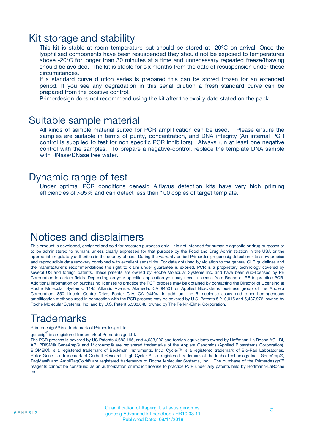### Kit storage and stability

This kit is stable at room temperature but should be stored at -20ºC on arrival. Once the lyophilised components have been resuspended they should not be exposed to temperatures above -20°C for longer than 30 minutes at a time and unnecessary repeated freeze/thawing should be avoided. The kit is stable for six months from the date of resuspension under these circumstances.

If a standard curve dilution series is prepared this can be stored frozen for an extended period. If you see any degradation in this serial dilution a fresh standard curve can be prepared from the positive control.

Primerdesign does not recommend using the kit after the expiry date stated on the pack.

### Suitable sample material

All kinds of sample material suited for PCR amplification can be used. Please ensure the samples are suitable in terms of purity, concentration, and DNA integrity (An internal PCR control is supplied to test for non specific PCR inhibitors). Always run at least one negative control with the samples. To prepare a negative-control, replace the template DNA sample with RNase/DNase free water.

### Dynamic range of test

Under optimal PCR conditions genesig A.flavus detection kits have very high priming efficiencies of >95% and can detect less than 100 copies of target template.

### Notices and disclaimers

This product is developed, designed and sold for research purposes only. It is not intended for human diagnostic or drug purposes or to be administered to humans unless clearly expressed for that purpose by the Food and Drug Administration in the USA or the appropriate regulatory authorities in the country of use. During the warranty period Primerdesign genesig detection kits allow precise and reproducible data recovery combined with excellent sensitivity. For data obtained by violation to the general GLP guidelines and the manufacturer's recommendations the right to claim under guarantee is expired. PCR is a proprietary technology covered by several US and foreign patents. These patents are owned by Roche Molecular Systems Inc. and have been sub-licensed by PE Corporation in certain fields. Depending on your specific application you may need a license from Roche or PE to practice PCR. Additional information on purchasing licenses to practice the PCR process may be obtained by contacting the Director of Licensing at Roche Molecular Systems, 1145 Atlantic Avenue, Alameda, CA 94501 or Applied Biosystems business group of the Applera Corporation, 850 Lincoln Centre Drive, Foster City, CA 94404. In addition, the 5' nuclease assay and other homogeneous amplification methods used in connection with the PCR process may be covered by U.S. Patents 5,210,015 and 5,487,972, owned by Roche Molecular Systems, Inc, and by U.S. Patent 5,538,848, owned by The Perkin-Elmer Corporation.

# Trademarks

Primerdesign™ is a trademark of Primerdesign Ltd.

genesig $^\circledR$  is a registered trademark of Primerdesign Ltd.

The PCR process is covered by US Patents 4,683,195, and 4,683,202 and foreign equivalents owned by Hoffmann-La Roche AG. BI, ABI PRISM® GeneAmp® and MicroAmp® are registered trademarks of the Applera Genomics (Applied Biosystems Corporation). BIOMEK® is a registered trademark of Beckman Instruments, Inc.; iCycler™ is a registered trademark of Bio-Rad Laboratories, Rotor-Gene is a trademark of Corbett Research. LightCycler™ is a registered trademark of the Idaho Technology Inc. GeneAmp®, TaqMan® and AmpliTaqGold® are registered trademarks of Roche Molecular Systems, Inc., The purchase of the Primerdesign™ reagents cannot be construed as an authorization or implicit license to practice PCR under any patents held by Hoffmann-LaRoche Inc.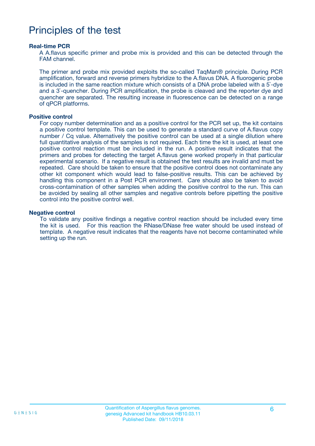## Principles of the test

#### **Real-time PCR**

A A.flavus specific primer and probe mix is provided and this can be detected through the FAM channel.

The primer and probe mix provided exploits the so-called TaqMan® principle. During PCR amplification, forward and reverse primers hybridize to the A.flavus DNA. A fluorogenic probe is included in the same reaction mixture which consists of a DNA probe labeled with a 5`-dye and a 3`-quencher. During PCR amplification, the probe is cleaved and the reporter dye and quencher are separated. The resulting increase in fluorescence can be detected on a range of qPCR platforms.

#### **Positive control**

For copy number determination and as a positive control for the PCR set up, the kit contains a positive control template. This can be used to generate a standard curve of A.flavus copy number / Cq value. Alternatively the positive control can be used at a single dilution where full quantitative analysis of the samples is not required. Each time the kit is used, at least one positive control reaction must be included in the run. A positive result indicates that the primers and probes for detecting the target A.flavus gene worked properly in that particular experimental scenario. If a negative result is obtained the test results are invalid and must be repeated. Care should be taken to ensure that the positive control does not contaminate any other kit component which would lead to false-positive results. This can be achieved by handling this component in a Post PCR environment. Care should also be taken to avoid cross-contamination of other samples when adding the positive control to the run. This can be avoided by sealing all other samples and negative controls before pipetting the positive control into the positive control well.

#### **Negative control**

To validate any positive findings a negative control reaction should be included every time the kit is used. For this reaction the RNase/DNase free water should be used instead of template. A negative result indicates that the reagents have not become contaminated while setting up the run.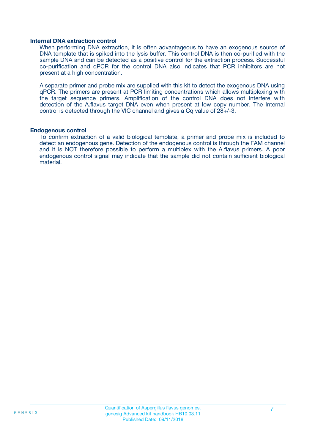#### **Internal DNA extraction control**

When performing DNA extraction, it is often advantageous to have an exogenous source of DNA template that is spiked into the lysis buffer. This control DNA is then co-purified with the sample DNA and can be detected as a positive control for the extraction process. Successful co-purification and qPCR for the control DNA also indicates that PCR inhibitors are not present at a high concentration.

A separate primer and probe mix are supplied with this kit to detect the exogenous DNA using qPCR. The primers are present at PCR limiting concentrations which allows multiplexing with the target sequence primers. Amplification of the control DNA does not interfere with detection of the A.flavus target DNA even when present at low copy number. The Internal control is detected through the VIC channel and gives a Cq value of 28+/-3.

#### **Endogenous control**

To confirm extraction of a valid biological template, a primer and probe mix is included to detect an endogenous gene. Detection of the endogenous control is through the FAM channel and it is NOT therefore possible to perform a multiplex with the A.flavus primers. A poor endogenous control signal may indicate that the sample did not contain sufficient biological material.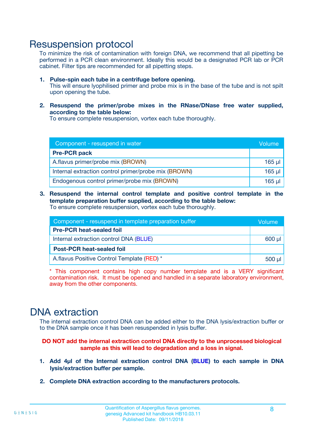### Resuspension protocol

To minimize the risk of contamination with foreign DNA, we recommend that all pipetting be performed in a PCR clean environment. Ideally this would be a designated PCR lab or PCR cabinet. Filter tips are recommended for all pipetting steps.

- **1. Pulse-spin each tube in a centrifuge before opening.** This will ensure lyophilised primer and probe mix is in the base of the tube and is not spilt upon opening the tube.
- **2. Resuspend the primer/probe mixes in the RNase/DNase free water supplied, according to the table below:**

To ensure complete resuspension, vortex each tube thoroughly.

| Component - resuspend in water                       |          |  |
|------------------------------------------------------|----------|--|
| <b>Pre-PCR pack</b>                                  |          |  |
| A.flavus primer/probe mix (BROWN)                    | $165$ µl |  |
| Internal extraction control primer/probe mix (BROWN) | $165$ µl |  |
| Endogenous control primer/probe mix (BROWN)          | $165$ µl |  |

**3. Resuspend the internal control template and positive control template in the template preparation buffer supplied, according to the table below:** To ensure complete resuspension, vortex each tube thoroughly.

| Component - resuspend in template preparation buffer |  |  |  |
|------------------------------------------------------|--|--|--|
| <b>Pre-PCR heat-sealed foil</b>                      |  |  |  |
| Internal extraction control DNA (BLUE)               |  |  |  |
| <b>Post-PCR heat-sealed foil</b>                     |  |  |  |
| A.flavus Positive Control Template (RED) *           |  |  |  |

\* This component contains high copy number template and is a VERY significant contamination risk. It must be opened and handled in a separate laboratory environment, away from the other components.

### DNA extraction

The internal extraction control DNA can be added either to the DNA lysis/extraction buffer or to the DNA sample once it has been resuspended in lysis buffer.

**DO NOT add the internal extraction control DNA directly to the unprocessed biological sample as this will lead to degradation and a loss in signal.**

- **1. Add 4µl of the Internal extraction control DNA (BLUE) to each sample in DNA lysis/extraction buffer per sample.**
- **2. Complete DNA extraction according to the manufacturers protocols.**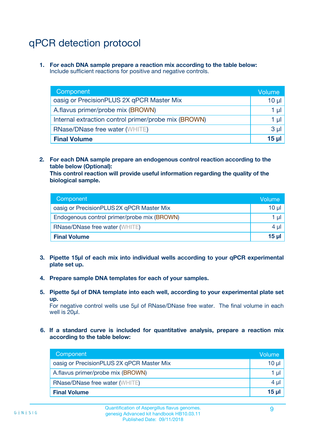# qPCR detection protocol

**1. For each DNA sample prepare a reaction mix according to the table below:** Include sufficient reactions for positive and negative controls.

| Component                                            | Volume   |
|------------------------------------------------------|----------|
| oasig or PrecisionPLUS 2X qPCR Master Mix            | $10 \mu$ |
| A.flavus primer/probe mix (BROWN)                    | 1 µI l   |
| Internal extraction control primer/probe mix (BROWN) | 1 µl     |
| <b>RNase/DNase free water (WHITE)</b>                | $3 \mu$  |
| <b>Final Volume</b>                                  | 15 µl    |

**2. For each DNA sample prepare an endogenous control reaction according to the table below (Optional):**

**This control reaction will provide useful information regarding the quality of the biological sample.**

| Component                                   | Volume   |
|---------------------------------------------|----------|
| oasig or PrecisionPLUS 2X qPCR Master Mix   | $10 \mu$ |
| Endogenous control primer/probe mix (BROWN) | 1 µI     |
| <b>RNase/DNase free water (WHITE)</b>       | $4 \mu$  |
| <b>Final Volume</b>                         | 15 µl    |

- **3. Pipette 15µl of each mix into individual wells according to your qPCR experimental plate set up.**
- **4. Prepare sample DNA templates for each of your samples.**
- **5. Pipette 5µl of DNA template into each well, according to your experimental plate set up.**

For negative control wells use 5µl of RNase/DNase free water. The final volume in each well is 20ul.

**6. If a standard curve is included for quantitative analysis, prepare a reaction mix according to the table below:**

| Component                                 | Volume   |
|-------------------------------------------|----------|
| oasig or PrecisionPLUS 2X qPCR Master Mix | 10 µl    |
| A.flavus primer/probe mix (BROWN)         | 1 µI     |
| <b>RNase/DNase free water (WHITE)</b>     | $4 \mu$  |
| <b>Final Volume</b>                       | $15 \mu$ |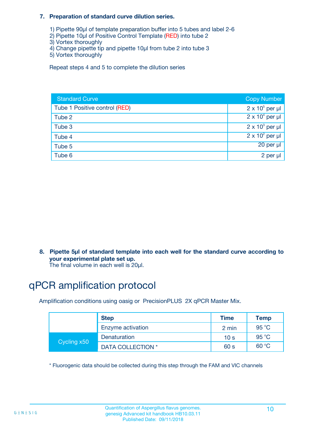#### **7. Preparation of standard curve dilution series.**

- 1) Pipette 90µl of template preparation buffer into 5 tubes and label 2-6
- 2) Pipette 10µl of Positive Control Template (RED) into tube 2
- 3) Vortex thoroughly
- 4) Change pipette tip and pipette 10µl from tube 2 into tube 3
- 5) Vortex thoroughly

Repeat steps 4 and 5 to complete the dilution series

| <b>Standard Curve</b>         | <b>Copy Number</b>     |
|-------------------------------|------------------------|
| Tube 1 Positive control (RED) | $2 \times 10^5$ per µl |
| Tube 2                        | $2 \times 10^4$ per µl |
| Tube 3                        | $2 \times 10^3$ per µl |
| Tube 4                        | $2 \times 10^2$ per µl |
| Tube 5                        | 20 per µl              |
| Tube 6                        | 2 per µl               |

**8. Pipette 5µl of standard template into each well for the standard curve according to your experimental plate set up.**

#### The final volume in each well is 20µl.

# qPCR amplification protocol

Amplification conditions using oasig or PrecisionPLUS 2X qPCR Master Mix.

|             | <b>Step</b>       | <b>Time</b>     | Temp    |
|-------------|-------------------|-----------------|---------|
|             | Enzyme activation | 2 min           | 95 °C   |
| Cycling x50 | Denaturation      | 10 <sub>s</sub> | 95 $°C$ |
|             | DATA COLLECTION * | 60 s            | 60 °C   |

\* Fluorogenic data should be collected during this step through the FAM and VIC channels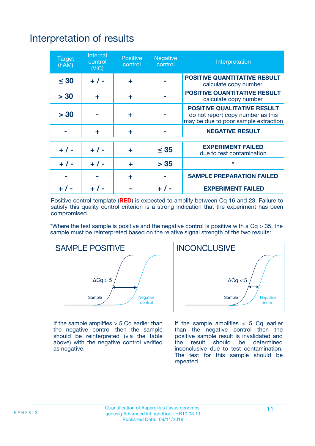# Interpretation of results

| <b>Target</b><br>(FAM) | <b>Internal</b><br>control<br>(NIC) | <b>Positive</b><br>control | <b>Negative</b><br>control | Interpretation                                                                                                  |
|------------------------|-------------------------------------|----------------------------|----------------------------|-----------------------------------------------------------------------------------------------------------------|
| $\leq 30$              | $+ 1 -$                             | ÷                          |                            | <b>POSITIVE QUANTITATIVE RESULT</b><br>calculate copy number                                                    |
| > 30                   | ٠                                   | ÷                          |                            | <b>POSITIVE QUANTITATIVE RESULT</b><br>calculate copy number                                                    |
| > 30                   |                                     | ÷                          |                            | <b>POSITIVE QUALITATIVE RESULT</b><br>do not report copy number as this<br>may be due to poor sample extraction |
|                        | ÷                                   | ÷                          |                            | <b>NEGATIVE RESULT</b>                                                                                          |
| $+ 1 -$                | $+ 1 -$                             | ÷                          | $\leq$ 35                  | <b>EXPERIMENT FAILED</b><br>due to test contamination                                                           |
| $+$ / -                | $+ 1 -$                             | ÷                          | > 35                       | $\star$                                                                                                         |
|                        |                                     | ÷                          |                            | <b>SAMPLE PREPARATION FAILED</b>                                                                                |
|                        |                                     |                            | $+$ /                      | <b>EXPERIMENT FAILED</b>                                                                                        |

Positive control template (**RED**) is expected to amplify between Cq 16 and 23. Failure to satisfy this quality control criterion is a strong indication that the experiment has been compromised.

\*Where the test sample is positive and the negative control is positive with a  $Ca > 35$ , the sample must be reinterpreted based on the relative signal strength of the two results:



If the sample amplifies  $> 5$  Cq earlier than the negative control then the sample should be reinterpreted (via the table above) with the negative control verified as negative.



If the sample amplifies  $< 5$  Cq earlier than the negative control then the positive sample result is invalidated and<br>the result should be determined  $the$  result should be inconclusive due to test contamination. The test for this sample should be repeated.